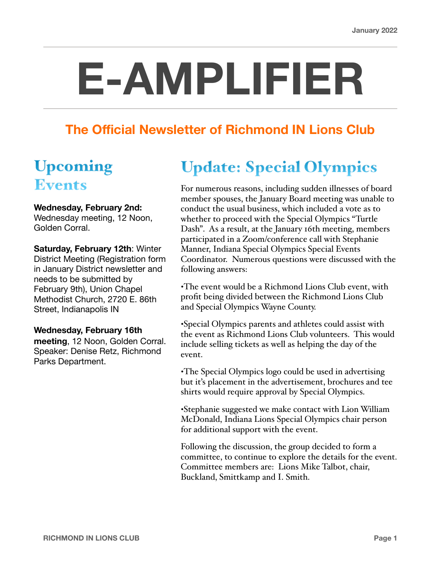# **E-AMPLIFIER**

### **The Official Newsletter of Richmond IN Lions Club**

## Upcoming Events

#### **Wednesday, February 2nd:**

Wednesday meeting, 12 Noon, Golden Corral.

**Saturday, February 12th**: Winter District Meeting (Registration form in January District newsletter and needs to be submitted by February 9th), Union Chapel Methodist Church, 2720 E. 86th Street, Indianapolis IN

#### **Wednesday, February 16th**

**meeting**, 12 Noon, Golden Corral. Speaker: Denise Retz, Richmond Parks Department.

## Update: Special Olympics

For numerous reasons, including sudden illnesses of board member spouses, the January Board meeting was unable to conduct the usual business, which included a vote as to whether to proceed with the Special Olympics "Turtle Dash". As a result, at the January 16th meeting, members participated in a Zoom/conference call with Stephanie Manner, Indiana Special Olympics Special Events Coordinator. Numerous questions were discussed with the following answers:

•The event would be a Richmond Lions Club event, with profit being divided between the Richmond Lions Club and Special Olympics Wayne County.

•Special Olympics parents and athletes could assist with the event as Richmond Lions Club volunteers. This would include selling tickets as well as helping the day of the event.

•The Special Olympics logo could be used in advertising but it's placement in the advertisement, brochures and tee shirts would require approval by Special Olympics.

•Stephanie suggested we make contact with Lion William McDonald, Indiana Lions Special Olympics chair person for additional support with the event.

Following the discussion, the group decided to form a committee, to continue to explore the details for the event. Committee members are: Lions Mike Talbot, chair, Buckland, Smittkamp and I. Smith.